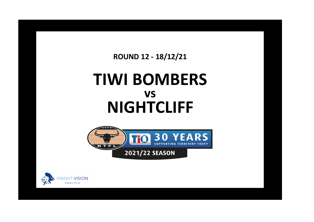**ROUND 12 - 18/12/21**

## **TIWI BOMBERS NIGHTCLIFF vs**



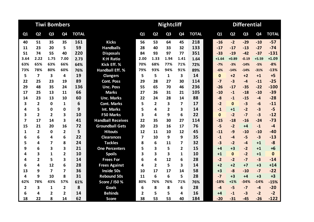|                         |                         | <b>Tiwi Bombers</b> |                |              |                          |                |                         | <b>Nightcliff</b> |                |              | <b>Differential</b> |                |                |         |              |  |
|-------------------------|-------------------------|---------------------|----------------|--------------|--------------------------|----------------|-------------------------|-------------------|----------------|--------------|---------------------|----------------|----------------|---------|--------------|--|
| Q1                      | Q <sub>2</sub>          | Q <sub>3</sub>      | Q4             | <b>TOTAL</b> |                          | Q1             | Q <sub>2</sub>          | Q <sub>3</sub>    | Q <sub>4</sub> | <b>TOTAL</b> | Q1                  | Q <sub>2</sub> | Q <sub>3</sub> | Q4      | <b>TOTAL</b> |  |
| 40                      | 51                      | 35                  | 35             | 161          | <b>Kicks</b>             | 56             | 53                      | 64                | 45             | 218          | $-16$               | $-2$           | $-29$          | $-10$   | $-57$        |  |
| 11                      | 23                      | 20                  | 5              | 59           | <b>Handballs</b>         | 28             | 40                      | 33                | 32             | 133          | $-17$               | $-17$          | $-13$          | $-27$   | $-74$        |  |
| 51                      | 74                      | 55                  | 40             | 220          | <b>Disposals</b>         | 84             | 93                      | 97                | 77             | 351          | $-33$               | $-19$          | $-42$          | $-37$   | $-131$       |  |
| 3.64                    | 2.22                    | 1.75                | 7.00           | 2.73         | <b>K:H Ratio</b>         | 2.00           | 1.33                    | 1.94              | 1.41           | 1.64         | $+1.64$             | $+0.89$        | $-0.19$        | $+5.59$ | $+1.09$      |  |
| 63%                     | 65%                     | 63%                 | 66%            | 64%          | Kick Eff. %              | 70%            | 68%                     | 77%               | 71%            | 72%          | $-7%$               | $-3%$          | $-14%$         | $-5%$   | $-8%$        |  |
| 73%                     | 78%                     | 80%                 | 60%            | 76%          | <b>Handball Eff. %</b>   | 79%            | 93%                     | 94%               | 91%            | 89%          | $-6%$               | $-14%$         | $-14%$         | $-31%$  | $-13%$       |  |
| 5                       | $\overline{7}$          | 3                   | 4              | 19           | <b>Clangers</b>          | 5              | 5                       | $\mathbf{1}$      | 3              | 14           | $\mathbf 0$         | $+2$           | $+2$           | $+1$    | $+5$         |  |
| 22                      | 25                      | 23                  | 19             | 89           | <b>Cont. Poss</b>        | 29             | 28                      | 27                | 30             | 114          | $-7$                | $-3$           | $-4$           | $-11$   | $-25$        |  |
| 29                      | 48                      | 35                  | 24             | 136          | <b>Unc. Poss</b>         | 55             | 65                      | 70                | 46             | 236          | $-26$               | $-17$          | $-35$          | $-22$   | $-100$       |  |
| 17                      | 25                      | 13                  | 11             | 66           | <b>Marks</b>             | 27             | 26                      | 31                | 21             | 105          | $-10$               | $-1$           | $-18$          | $-10$   | $-39$        |  |
| 14                      | 23                      | 13                  | 10             | 60           | <b>Unc. Marks</b>        | 22             | 24                      | 28                | 14             | 88           | $-8$                | $-1$           | $-15$          | $-4$    | $-28$        |  |
| 3                       | $\overline{2}$          | 0                   | 1              | 6            | <b>Cont. Marks</b>       | 5              | $\overline{2}$          | 3                 | 7              | 17           | $-2$                | $\Omega$       | $-3$           | $-6$    | $-11$        |  |
| 4                       | 5                       | 0                   | $\mathbf{0}$   | 9            | Int. Marks               | 5              | 4                       | $\overline{2}$    | 3              | 14           | $-1$                | $+1$           | $-2$           | $-3$    | $-5$         |  |
| 3                       | $\overline{2}$          | $\overline{2}$      | 3              | 10           | <b>F50 Marks</b>         | 3              | 4                       | 9                 | 6              | 22           | $\mathbf{0}$        | $-2$           | $-7$           | $-3$    | $-12$        |  |
| $\overline{7}$          | 17                      | 14                  | 3              | 41           | <b>Handball Receives</b> | 22             | 35                      | 30                | 27             | 114          | $-15$               | $-18$          | $-16$          | $-24$   | $-73$        |  |
| 15                      | 21                      | 20                  | 16             | 72           | <b>Groundball Gets</b>   | 20             | 23                      | 16                | 17             | 76           | $-5$                | $-2$           | $+4$           | $-1$    | $-4$         |  |
| 1                       | $\overline{\mathbf{2}}$ | $\mathbf 0$         | $\overline{2}$ | 5            | <b>Hitouts</b>           | 12             | 11                      | 10                | 12             | 45           | $-11$               | $-9$           | $-10$          | $-10$   | $-40$        |  |
| 6                       | 6                       | 4                   | 6              | 22           | <b>Clearances</b>        | $\overline{7}$ | 10                      | 9                 | 9              | 35           | $-1$                | $-4$           | $-5$           | $-3$    | $-13$        |  |
| 5                       | 4                       | 7                   | 8              | 24           | <b>Tackles</b>           | 8              | 6                       | 11                | 7              | 32           | $-3$                | $-2$           | $-4$           | $+1$    | $-8$         |  |
| 9                       | 6                       | 3                   | 3              | 21           | <b>One Percenters</b>    | 5              | 3                       | 5                 | 2              | 15           | $+4$                | $+3$           | $-2$           | $+1$    | $+6$         |  |
| 4                       | 3                       | $\mathbf{1}$        | 2              | 10           | <b>Spoils</b>            | 3              | $\overline{\mathbf{3}}$ | 3                 | 1              | 10           | $+1$                | $\Omega$       | $-2$           | $+1$    | $\mathbf{0}$ |  |
| 4                       | $\overline{2}$          | 5                   | 3              | 14           | <b>Frees For</b>         | 6              | 4                       | 12                | 6              | 28           | $-2$                | $-2$           | $-7$           | $-3$    | $-14$        |  |
| 6                       | 4                       | 12                  | 6              | 28           | <b>Frees Against</b>     | 4              | $\overline{2}$          | 5                 | 3              | 14           | $+2$                | $+2$           | $+7$           | $+3$    | $+14$        |  |
| 13                      | 9                       | 7                   | 7              | 36           | <b>Inside 50s</b>        | 10             | 17                      | 17                | 14             | 58           | $+3$                | $-8$           | $-10$          | $-7$    | $-22$        |  |
| 4                       | 9                       | 10                  | 8              | 31           | <b>Rebound 50s</b>       | 11             | 6                       | 6                 | 5              | 28           | $-7$                | $+3$           | $+4$           | $+3$    | $+3$         |  |
| 62%                     | 78%                     | 43%                 | 57%            | 61%          | Score / I50 %            | 80%            | 76%                     | 76%               | 71%            | 76%          | $-18%$              | $+1%$          | $-34%$         | $-14%$  | $-15%$       |  |
| $\overline{\mathbf{2}}$ | 3                       | $\mathbf{1}$        | $\overline{2}$ | 8            | <b>Goals</b>             | 6              | 8                       | 8                 | 6              | 28           | $-4$                | $-5$           | $-7$           | $-4$    | $-20$        |  |
| 6                       | 4                       | 2                   | 2              | 14           | <b>Behinds</b>           | 2              | 5                       | 5                 | 4              | 16           | +4                  | $-1$           | $-3$           | $-2$    | $-2$         |  |
| 18                      | 22                      | 8                   | 14             | 62           | <b>Score</b>             | 38             | 53                      | 53                | 40             | 184          | $-20$               | $-31$          | $-45$          | $-26$   | $-122$       |  |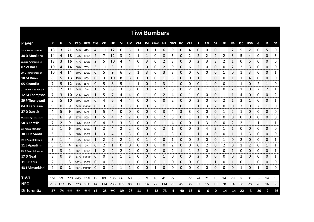| <b>Tiwi Bombers</b>       |     |      |        |     |             |              |           |        |       |                |       |                 |            |              |      |     |            |    |      |           |       |       |       |               |       |                        |               |
|---------------------------|-----|------|--------|-----|-------------|--------------|-----------|--------|-------|----------------|-------|-----------------|------------|--------------|------|-----|------------|----|------|-----------|-------|-------|-------|---------------|-------|------------------------|---------------|
| <b>Player</b>             | К   |      | D      |     | KE% HE% CLG |              | <b>CP</b> | UP     | М     | UM             | CM    |                 | IM F50M HR |              | GBG  | но  | <b>CLR</b> | т  | 1%   | <b>SP</b> | FF    | FA    | 150   | <b>R50</b>    | G     | в                      | <b>SA</b>     |
| 48 H Puruntatameri        | 18  | 3    | 21     | 44% | 67%         | Δ            | 11        | 12     | 6     | 5              | 1     | 0               | 1          | 6            | 9    | 0   | 4          | 0  |      | 0         |       | 2     | 5     | 2             | 0     | 5                      | 0<br>         |
| 38 D Munkara              | 14  | 4    | 18     | 64% | 100%        | 2            | 7         | 12     | 3     | 2              | 1     | 1               | 0          | 8            | 5    | 0   | 2          | 2  | 2    | 2         | 2     | 3     | 5     | 4             | 0     | 0                      | 3             |
| 02 Jason Puruntatameri    | 13  |      | 16     | 77% | 100%        | 2            | 5         | 10     | 4     | 4              | 0     | 3               | 0          | 2            | 3    | 0   | 0          |    |      | 3         |       | 1     | 0     | 5             | 0     | 0                      | 0             |
| 07 W Dulla                | 10  | 4    | 14     | 60% | 75%         | 3            | 11        | 3      | 3     | 1              | 2     | 0               | 0          | 2            | 9    | 0   | 6          | 2  | 0    | 0         | 0     | 2     | 2     | 3             | 0     | 0                      | 0             |
| 29 G Puruntatameri        | 10  | 4    | 14     |     | 80% 100%    | 0            | 5         | 9      | 6     | 5              | 1     | 3               | 0          | 3            | 3    | 0   | 0          | 0  | 0    | 0         | 1     | 0     |       | 3             | 0     | $\Omega$               | 1             |
| 18 M Dunn                 | 8   | 5.   | 13     | 75% | 80%         | 0            | 3         | 10     | 8     | 8              | 0     | 0               | 0          | $\mathbf{1}$ | 3    | 0   | 0          | 1  | 1    | 0         | 0     | 1     | 1     | 4             | 0     | 0                      | 0             |
| 05 K Kantilla             | 7   | 5    | 12     | 43% | 80%         | 0            | 5         | 8      | 5     | 4              | 1     | 0               | 4          | 3            | 4    | 0   | 0          | 0  | 1    | 0         | 0     | 4     | 1     | 0             | 2     | $\mathbf{1}$           | 0             |
| 01 Adam Tipungwuti        | 9   | 2    | 11     | 44% | 0%          | 1            | 5         | 6      | 3     | 3              | 0     | 0               | 2          | 2            | 5    | 0   | 2          | 1  | 1    | 0         | 0     | 2     | 1     | 0             | 2     | 2                      | 1             |
| 12 M Thompson             | 7   | 3    | 10     | 71% | 67%         | $\mathbf{1}$ | 5         |        | 4     | 4              | 0     | 1               | 0          | 2            | 4    | 0   | 1          | 0  | 0    | 0         | 1     | 1     | 4     | 0             | 0     | 0                      | 2             |
| 39 P Tipungwuti           | 5   | 5.   | 10     | 80% | 80%         | 0            | 4         | 6      | 4     | 4              | 0     | 0               | 0          | 0            | 2    | 0   | 0          | 3  | 0    | 0         | 2     | 1     | 3     | 1             | 0     | 0                      | 1             |
| 04 D Kerinaiua            | 9   | 0    | 9      | 44% | #####       | 0            | 3         | 6      | 3     | 3              | 0     | 0               | 2          | 1            | 3    | 0   |            | 1  | 3    | 2         | 0     | 0     | 3     | 0             | 2     | 1                      | 0             |
| 27 D Daniels              | 4   | 5.   | 9      | 50% | 60%         | 1            | 5         | 4      | 0     | 0              | 0     | 0               | 0          | 3            | 4    | 3   | 3          | 0  | 0    | 0         | 1     | 2     | 1     | 0             | 0     | 0                      | 0             |
| 44 Jerome Tipuamantamirri | 3   | 6    | 9      | 67% | 50%         | 1            | 5         | 4      | 2     | $\overline{2}$ | 0     | 0               | 0          | 2            | 5    | 0   | 1          | 1  | 0    | 0         | 0     | 0     | 0     | 0             | 0     | 0                      | 0             |
| 50 B Kantilla             | 7   | 2    | 9      | 86% | 100%        | 0            | 4         | 5      | 3     | 3              | 0     | 0               | 0          | 1            | 4    | 0   | 0          | 1  | 3    | 0         | 0     | 2     | 2     | 1             | 1     | 1                      | 1             |
| 22 Aidan McAdam           | 5   |      | 6      | 80% | 100%        |              | 2         | Δ      | 2     |                | Ω     | 0<br>ananananan | 0          | 2            |      | 0   | 0          |    | 4    |           |       |       | O     | 0<br>an an an | 0     | 0<br><b>Management</b> | 0             |
| <b>30 K De Santis</b>     | 5   |      | 6      | 60% | 100%        |              | 3         | 4      | 3     | 3              | 0     | 0               | 0          |              | 3    | 0   |            |    | O    | 0         | Ω     |       |       | 3             | 0     | 0                      | 0<br>ananana. |
| 09 E Puruntatameri        | 3   |      | 4      | 33% | 100%        |              | 2         | 2      | 2     | 2              | 0     |                 | 0          | 0            |      | 0   | 0          | 2  | 0    | 0         |       | 0     | 2     | 0             | 0     | 0                      | 1             |
| 11 L Apuatimi             | 3   |      | 4      | 33% | 0%          | 0            |           |        | 0     | 0              | 0     | 0               | 0          | 0            | 2    | 0   | 0          | 0  |      | 0         | 2     | 0     |       | 2             | 0     | 1                      | 1             |
| 23 R Darcy Jalimana       | 1   | 3    | 4      | 0%  | 100%        |              | 2         |        | 2     | 2              | 0     | 0               | 0          | 0            | 2    |     |            | 2  | 0    | 0         | 0     | 1     | 0     | 0             | 0     | 0                      | 1             |
| 17 D Neal                 | 3   | 0    | З      |     | 67% #####   | 0            | 0         | 3      | 1     | 1              | 0     | 0               | 0          | 1            | 0    | 0   | 0          | 2  | 0    | 0         | 0     | 0     | 2     | 0             | 0     | 0                      | 1<br>mono     |
| 31 S Babui                | 2   | 1    | 3      |     | 100% 100%   | 0            | 0         | 3      |       |                | 0     | 0               | 0          | 1            | 0    | 0   | 0          | 0  |      |           | 0     | 1     | 0     | 1             | 0     | 0                      | 0             |
| 43 J Alimankinni          | 2   | 0    | 2      |     | 100% #####  | 0            | 0         |        | 1     | 1              | 0     | 0               | 1          | 0            | 0    | 0   | 0          | 0  | 0    | 0         | 0     | 0     | 1     | 0             | 1     | 0                      | 0             |
|                           |     |      |        |     |             |              |           |        |       |                |       |                 |            |              |      |     |            |    |      |           |       |       |       |               |       |                        |               |
| <b>TIWI</b>               | 161 | 59   | 220    |     | 64% 76%     | 19           | 89        | 136    | 66    | 60             | 6     | 9               | 10         | 41           | 72   | 5   | 22         | 24 | 21   | 10        | 14    | 28    | 36    | 31            | 8     | 14                     | 13            |
| <b>NFC</b>                | 218 | -133 |        |     | 351 72% 89% | 14           | 114 236   |        | 105   | 88             | 17    | 14              | 22         | 114          | -76  | 45  | 35         | 32 | 15   | 10        | 28    | 14    | 58    | 28            | 28    | 16                     | 39            |
| <b>Differential</b>       | -57 | -74  | $-131$ | -8% | $-13%$      | $+5$         | $-25$     | $-100$ | $-39$ | $-28$          | $-11$ | $-5$            | $-12$      | $-73$        | $-4$ | -40 | $-13$      | -8 | $+6$ | 0         | $-14$ | $+14$ | $-22$ | $+3$          | $-20$ | -2                     | $-26$         |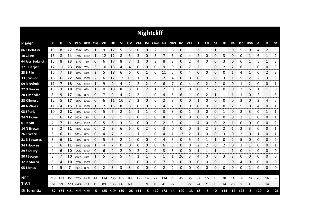| <b>Nightcliff</b>   |     |     |     |           |                   |                        |     |                          |     |                |           |              |                       |             |      |       |       |      |    |                |       |       |            |                |       |                |            |
|---------------------|-----|-----|-----|-----------|-------------------|------------------------|-----|--------------------------|-----|----------------|-----------|--------------|-----------------------|-------------|------|-------|-------|------|----|----------------|-------|-------|------------|----------------|-------|----------------|------------|
| <b>Player</b>       | К   | н   | D   |           | KE% HE% CLG       |                        | CP  | UP                       | M   | UM             | <b>CM</b> |              | IM F50M HR GBG HO CLR |             |      |       |       | т    | 1% | <b>SP</b>      | FF    | FA    | <b>I50</b> | <b>R50</b>     | G     | В              | <b>SA</b>  |
| 06 L Holt-Fitz      | 19  | 8   | 27  | 63%       | 88%               | 1                      | 9   | 17                       | 5   | 5              | 0         | 0            | 2                     | 11          | 8    | 0     | 1     | 3    | 1  | 1              | 1     | 0     | 5          | 0              | 4     | $\overline{2}$ | 5          |
| 10 C I lett         | 16  | 8   | 24  | 69%       | 100%              |                        | 12  | 12                       | 8   | 5              | 3         | 0            | 3                     | 7           | 6    | 0     | 4     | 2    | 0  | 0              | 3     | 0     | 0          | 1              | 6     | 1              | 2          |
| 04 Jess Budarick    | 15  | 8   | 23  | 87%       | 75%               | 0                      | 6   | 17                       | 8   | 7              | 1         | 0            | 3                     | 8           | 3    | 0     | 2     | 4    | 0  | 0              | 3     | 0     | 6          | $\mathbf{1}$   | 5     | 1              | 3          |
| 17 S Harper         | 12  | 11  | 23  | 75%       | 73%               | 3                      | 10  | 13                       | 4   | 4              | 0         | 0            | 0                     | 9           | 9    | 0     |       | 2    | 1  | 0              | 2     | 2     | 6          | 1              | 0     | 0              | 3          |
| 23 B Filo           | 16  | 7   | 23  | 50%       | 86%               | 2                      | 5   | 18                       | 6   | 6              | 0         | 1            | 0                     | 11          | 5    | 0     | 4     | 0    | 0  | 0              | 0     | 1     | 4          | $\mathbf{1}$   | 0     | $\overline{2}$ | 2          |
| 33 S Wilson         | 16  | 6   | 22  | 56%       | 100%              | 2                      | 6   | 17                       | 12  | 11             | 1         | 0            | 5                     | 2           | 4    | 0     | 0     | 0    | 1  | 0              | 3     | 1     | 5          | 2              | 2     | 3              | 5          |
| 09 R Nyhuis         | 11  |     | 18  | 55%       | 100%              |                        | 9   | 9                        | 4   | $\overline{2}$ | 2         | 2            | 0                     | 6           |      | 0     | 4     | 0    | 2  | $\overline{2}$ | 0     | 0     |            | $\overline{2}$ | 0     | 0              | 1          |
| 22 D Bowles         | 15  | 3   | 18  | 67%       | 67%               | 1                      | 0   | 18                       | 8   | 8              | 0         | 2            | 1                     | 7           | 0    | 0     | 0     | 0    | 2  | 2              | 0     | 0     | 2          | 6              | 1     | 1              | 0          |
| 20 T Melville       | 8   | 9   | 17  | 63%       | 89%               | 0                      | 7   | 9                        | 4   | $\overline{2}$ | 2         | 1            | 0                     | 4           | 5    | 6     | 1     | 0    | 2  | $\mathbf{1}$   | 1     | 1     | 1          | 0              | 2     | 1              | 3          |
| 28 K Emery          | 12  | 5   | 17  | 58%       | 100%              | 0                      | 6   | 11                       | 10  | 7              | 3         | 0            | 6                     | 2           | 3    | 0     | 0     | 1    | 0  | 0              | 0     | 0     | 3          | 0              | 3     | 4              | 5          |
| 40 A Wines          | 11  | 4   | 15  | 91%       | 100%              | 1                      | 2   | 13                       | 8   | 8              | 0         | 0            | 2                     | 4           | 2    | 0     | 0     | 0    | 0  | 0              | 0     | 2     | 5          | 0              | 4     | 0              | 1          |
| 03 J Peris          | 10  |     | 12  | 70%       | 100%              | 0                      | 5   |                          | 2   | 1              | 1         | 1            | 0                     | 3           | 3    | 0     |       | 2    | 0  | 0              | 1     | 0     | 2          | 3              | 0     | 1              | 1          |
| 24 N Howe           | 6   | 6   | 12  | 100% 83%  |                   | 0                      | 3   | 9                        | 1   | 1              | 0         | 1            | 0                     | 8           | 3    | 0     | 0     | 0    | 0  | 0              | 0     | 0     | 2          | 1              | 0     | 0              | 1          |
| 01 R Mu             | 4   |     | 11  | 100% 100% |                   | 0                      | 5   | 6                        | 3   | 3              | 0         | 0            | 0                     | 2           | 3    | 0     |       | 4    | Ω  | 0              | 2     |       | 0          | 0              | 0     | 0              | 2          |
| 14 N Brown          | 9   |     | 11  |           | 78% 100%          | 0                      |     | 9                        | 6   | 6              | 0         | 2            | 0                     | 3           | 0    | 0     | Ω     | 2    | 2  | 2              | 2     |       | 2          | 3              | 0     | 0              | 1          |
| 26 E Ware           | 5   | h   | 11  | 100%      | 83%               | 0<br><b>CONTRACTOR</b> | 4   |                          | 2   | 1              | 1         | 1            | 0                     | 4           |      | 13    |       |      | 0  | 0              | 3     | 0     |            | 0              | 1     | 0              | 1<br>mmmmm |
| 31 B Edwards        | 5   | 6   | 11  | 80%       | 83%               | 0                      | 5   | 6                        | 2   | 2              | 0         | 0            | 0                     | 4           | 5    | 0     | 5     | 4    |    | 1              | 0     | 2     | 5          | 0              | 0     | 0              | 2          |
| 34 J Hopkins        | 5   | 6   | 11  | 60%       | 100%              |                        | 4   |                          | Ω   | 0              | 0         | 0            | 0                     | 6           | 3    | 0     | O     | 2    |    | 0              | 2     | 0     | 3          | 1              | 0     | 0              | 1          |
| 29 S Deery          | 4   | 6   | 10  |           | 75% 100%          | 0                      | 6   | 4                        | 2   | 0              | 2         | 2            | 0                     | 3           | 3    | 0     | 0     | 1    |    | 1              |       | 1     | 0          | 4              | 0     | 0              | 0          |
| 30 J Bowen          | 3   |     | 10  | 100% 86%  |                   |                        | 5   | 5                        | 5   | 4              | 1         | $\mathbf{1}$ | 0                     | 1           |      | 26    | 3     | 4    | 0  | 0              | 3     | 2     | 0          | 0              | 0     | 0              | 0          |
| 32 R Morris         | 6   | 4   | 10  | 67%       | 100%              | 0                      | 1   | 9                        | 1   | 1              | 0         | 0            | 0                     | 7           | 0    | 0     | 0     | 0    | 0  | 0              | 1     | 0     | 4          | 0              | 0     | 0              | 0          |
| 05 J Jones          | 2   | 5   | 7   | 100% 80%  |                   | 0                      | 2   | 5                        | 3   | 3              | 0         | 0            | 0                     | 2           | 2    | 0     | 0     | 0    | 0  | 0              | 0     | 0     | 0          | 1              | 0     | 0              | 0          |
|                     |     |     |     |           |                   |                        |     |                          |     |                |           |              |                       |             |      |       |       |      |    |                |       |       |            |                |       |                |            |
| <b>NFC</b>          | 218 | 133 | 351 | 72%       | 89%               | 14                     | 114 | 236                      | 105 | 88             | 17        | 14           | 22                    | 114         | 76   | 45    | 35    | 32   | 15 | 10             | 28    | 14    | 58         | 28             | 28    | 16             | 39         |
| <b>TIWI</b>         | 161 | 59  | 220 |           | 64% 76%           | 19                     | 89  | 136                      | 66  | 60             | 6         | 9            | 10                    | 41          | 72   | 5     | 22    | 24   | 21 | 10             | 14    | 28    | 36         | 31             | 8     | 14             | 13         |
| <b>Differential</b> | +57 |     |     |           | +74 +131 +8% +13% | $-5$                   |     | $+25$ $+100$ $+39$ $+28$ |     |                | $+11$     | $+5$         |                       | $+12$ $+73$ | $+4$ | $+40$ | $+13$ | $+8$ | -6 | 0              | $+14$ | $-14$ | $+22$      | $-3$           | $+20$ | $+2$           | $+26$      |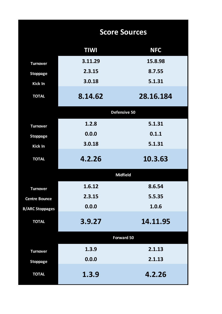|                        | <b>Score Sources</b> |                   |  |  |  |  |  |  |  |  |
|------------------------|----------------------|-------------------|--|--|--|--|--|--|--|--|
|                        | <b>TIWI</b>          | <b>NFC</b>        |  |  |  |  |  |  |  |  |
| <b>Turnover</b>        | 3.11.29              | 15.8.98           |  |  |  |  |  |  |  |  |
| <b>Stoppage</b>        | 2.3.15               | 8.7.55            |  |  |  |  |  |  |  |  |
| <b>Kick In</b>         | 3.0.18               | 5.1.31            |  |  |  |  |  |  |  |  |
| <b>TOTAL</b>           | 8.14.62              | 28.16.184         |  |  |  |  |  |  |  |  |
|                        |                      | Defensive 50      |  |  |  |  |  |  |  |  |
| <b>Turnover</b>        | 1.2.8                | 5.1.31            |  |  |  |  |  |  |  |  |
| <b>Stoppage</b>        | 0.0.0                | 0.1.1             |  |  |  |  |  |  |  |  |
| <b>Kick In</b>         | 3.0.18               | 5.1.31            |  |  |  |  |  |  |  |  |
| <b>TOTAL</b>           | 4.2.26               | 10.3.63           |  |  |  |  |  |  |  |  |
|                        |                      | <b>Midfield</b>   |  |  |  |  |  |  |  |  |
| <b>Turnover</b>        | 1.6.12               | 8.6.54            |  |  |  |  |  |  |  |  |
| <b>Centre Bounce</b>   | 2.3.15               | 5.5.35            |  |  |  |  |  |  |  |  |
| <b>B/ARC Stoppages</b> | 0.0.0                | 1.0.6             |  |  |  |  |  |  |  |  |
| <b>TOTAL</b>           | 3.9.27               | 14.11.95          |  |  |  |  |  |  |  |  |
|                        |                      | <b>Forward 50</b> |  |  |  |  |  |  |  |  |
| <b>Turnover</b>        | 1.3.9                | 2.1.13            |  |  |  |  |  |  |  |  |
| <b>Stoppage</b>        | 0.0.0                | 2.1.13            |  |  |  |  |  |  |  |  |
| <b>TOTAL</b>           | 1.3.9                | 4.2.26            |  |  |  |  |  |  |  |  |